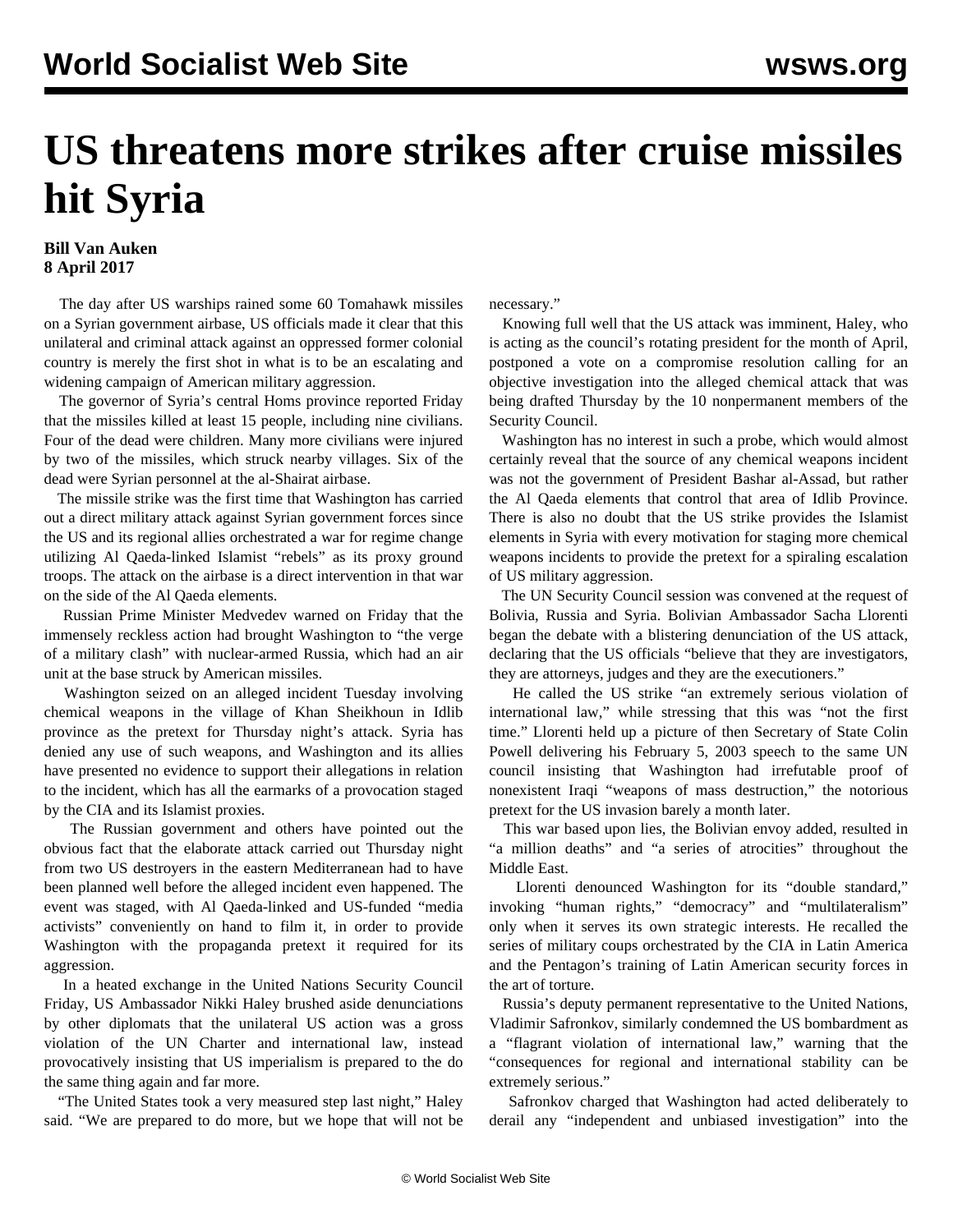## **US threatens more strikes after cruise missiles hit Syria**

## **Bill Van Auken 8 April 2017**

 The day after US warships rained some 60 Tomahawk missiles on a Syrian government airbase, US officials made it clear that this unilateral and criminal attack against an oppressed former colonial country is merely the first shot in what is to be an escalating and widening campaign of American military aggression.

 The governor of Syria's central Homs province reported Friday that the missiles killed at least 15 people, including nine civilians. Four of the dead were children. Many more civilians were injured by two of the missiles, which struck nearby villages. Six of the dead were Syrian personnel at the al-Shairat airbase.

 The missile strike was the first time that Washington has carried out a direct military attack against Syrian government forces since the US and its regional allies orchestrated a war for regime change utilizing Al Qaeda-linked Islamist "rebels" as its proxy ground troops. The attack on the airbase is a direct intervention in that war on the side of the Al Qaeda elements.

 Russian Prime Minister Medvedev warned on Friday that the immensely reckless action had brought Washington to "the verge of a military clash" with nuclear-armed Russia, which had an air unit at the base struck by American missiles.

 Washington seized on an alleged incident Tuesday involving chemical weapons in the village of Khan Sheikhoun in Idlib province as the pretext for Thursday night's attack. Syria has denied any use of such weapons, and Washington and its allies have presented no evidence to support their allegations in relation to the incident, which has all the earmarks of a provocation staged by the CIA and its Islamist proxies.

 The Russian government and others have pointed out the obvious fact that the elaborate attack carried out Thursday night from two US destroyers in the eastern Mediterranean had to have been planned well before the alleged incident even happened. The event was staged, with Al Qaeda-linked and US-funded "media activists" conveniently on hand to film it, in order to provide Washington with the propaganda pretext it required for its aggression.

 In a heated exchange in the United Nations Security Council Friday, US Ambassador Nikki Haley brushed aside denunciations by other diplomats that the unilateral US action was a gross violation of the UN Charter and international law, instead provocatively insisting that US imperialism is prepared to the do the same thing again and far more.

 "The United States took a very measured step last night," Haley said. "We are prepared to do more, but we hope that will not be necessary."

 Knowing full well that the US attack was imminent, Haley, who is acting as the council's rotating president for the month of April, postponed a vote on a compromise resolution calling for an objective investigation into the alleged chemical attack that was being drafted Thursday by the 10 nonpermanent members of the Security Council.

 Washington has no interest in such a probe, which would almost certainly reveal that the source of any chemical weapons incident was not the government of President Bashar al-Assad, but rather the Al Qaeda elements that control that area of Idlib Province. There is also no doubt that the US strike provides the Islamist elements in Syria with every motivation for staging more chemical weapons incidents to provide the pretext for a spiraling escalation of US military aggression.

 The UN Security Council session was convened at the request of Bolivia, Russia and Syria. Bolivian Ambassador Sacha Llorenti began the debate with a blistering denunciation of the US attack, declaring that the US officials "believe that they are investigators, they are attorneys, judges and they are the executioners."

 He called the US strike "an extremely serious violation of international law," while stressing that this was "not the first time." Llorenti held up a picture of then Secretary of State Colin Powell delivering his February 5, 2003 speech to the same UN council insisting that Washington had irrefutable proof of nonexistent Iraqi "weapons of mass destruction," the notorious pretext for the US invasion barely a month later.

 This war based upon lies, the Bolivian envoy added, resulted in "a million deaths" and "a series of atrocities" throughout the Middle East.

 Llorenti denounced Washington for its "double standard," invoking "human rights," "democracy" and "multilateralism" only when it serves its own strategic interests. He recalled the series of military coups orchestrated by the CIA in Latin America and the Pentagon's training of Latin American security forces in the art of torture.

 Russia's deputy permanent representative to the United Nations, Vladimir Safronkov, similarly condemned the US bombardment as a "flagrant violation of international law," warning that the "consequences for regional and international stability can be extremely serious."

 Safronkov charged that Washington had acted deliberately to derail any "independent and unbiased investigation" into the